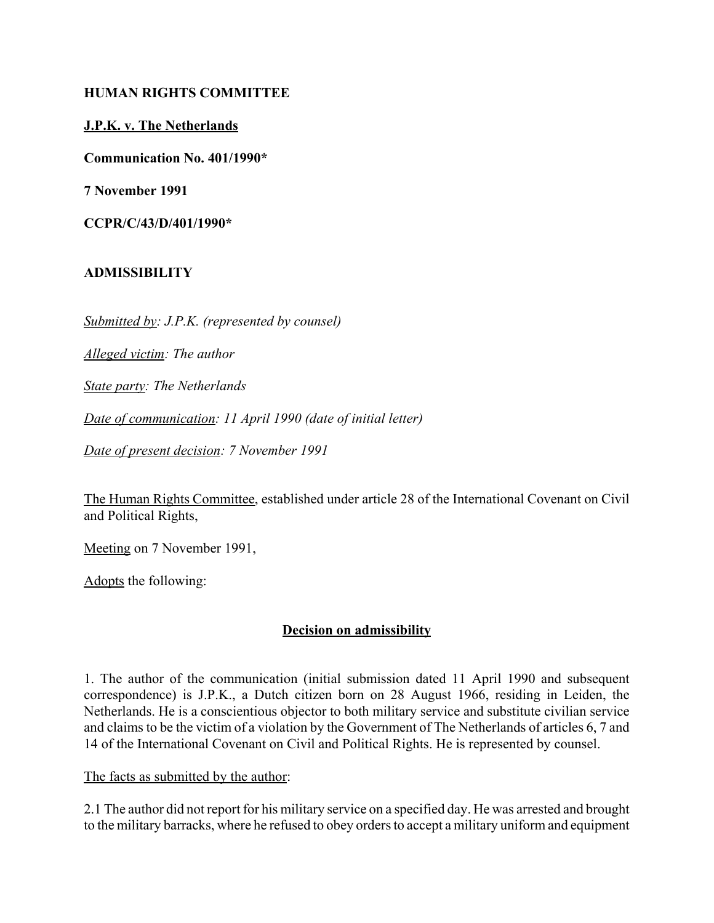## **HUMAN RIGHTS COMMITTEE**

## **J.P.K. v. The Netherlands**

**Communication No. 401/1990\***

**7 November 1991**

**CCPR/C/43/D/401/1990\***

## **ADMISSIBILITY**

*Submitted by: J.P.K. (represented by counsel)*

*Alleged victim: The author*

*State party: The Netherlands*

*Date of communication: 11 April 1990 (date of initial letter)*

*Date of present decision: 7 November 1991*

The Human Rights Committee, established under article 28 of the International Covenant on Civil and Political Rights,

Meeting on 7 November 1991,

Adopts the following:

# **Decision on admissibility**

1. The author of the communication (initial submission dated 11 April 1990 and subsequent correspondence) is J.P.K., a Dutch citizen born on 28 August 1966, residing in Leiden, the Netherlands. He is a conscientious objector to both military service and substitute civilian service and claims to be the victim of a violation by the Government of The Netherlands of articles 6, 7 and 14 of the International Covenant on Civil and Political Rights. He is represented by counsel.

#### The facts as submitted by the author:

2.1 The author did not report for his military service on a specified day. He was arrested and brought to the military barracks, where he refused to obey orders to accept a military uniform and equipment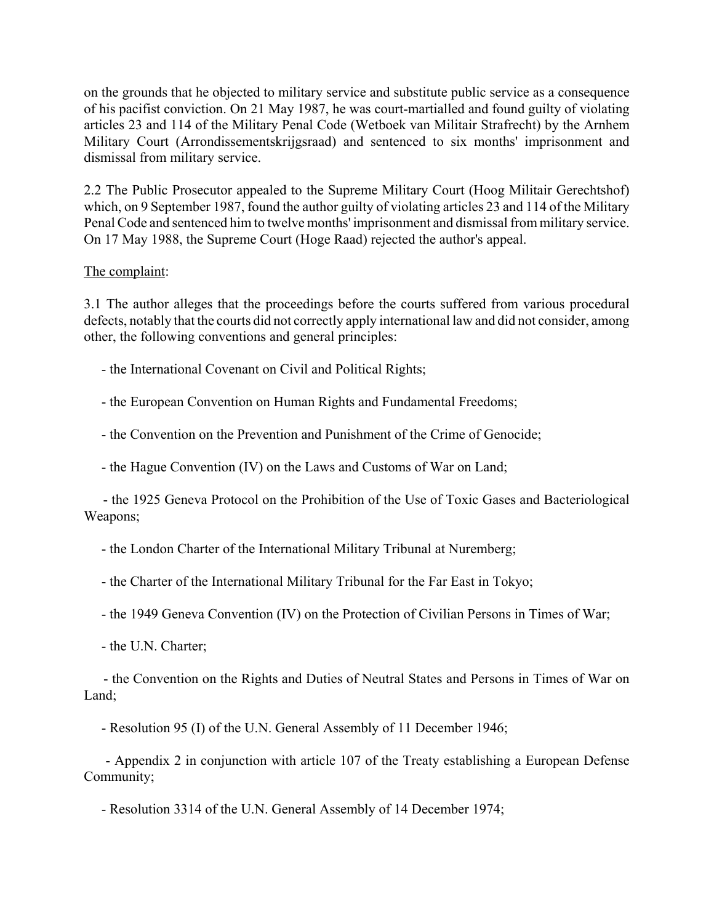on the grounds that he objected to military service and substitute public service as a consequence of his pacifist conviction. On 21 May 1987, he was court-martialled and found guilty of violating articles 23 and 114 of the Military Penal Code (Wetboek van Militair Strafrecht) by the Arnhem Military Court (Arrondissementskrijgsraad) and sentenced to six months' imprisonment and dismissal from military service.

2.2 The Public Prosecutor appealed to the Supreme Military Court (Hoog Militair Gerechtshof) which, on 9 September 1987, found the author guilty of violating articles 23 and 114 of the Military Penal Code and sentenced him to twelve months' imprisonment and dismissal from military service. On 17 May 1988, the Supreme Court (Hoge Raad) rejected the author's appeal.

#### The complaint:

3.1 The author alleges that the proceedings before the courts suffered from various procedural defects, notably that the courts did not correctly apply international law and did not consider, among other, the following conventions and general principles:

- the International Covenant on Civil and Political Rights;

- the European Convention on Human Rights and Fundamental Freedoms;

- the Convention on the Prevention and Punishment of the Crime of Genocide;

- the Hague Convention (IV) on the Laws and Customs of War on Land;

 - the 1925 Geneva Protocol on the Prohibition of the Use of Toxic Gases and Bacteriological Weapons;

- the London Charter of the International Military Tribunal at Nuremberg;

- the Charter of the International Military Tribunal for the Far East in Tokyo;

- the 1949 Geneva Convention (IV) on the Protection of Civilian Persons in Times of War;

- the U.N. Charter;

 - the Convention on the Rights and Duties of Neutral States and Persons in Times of War on Land;

- Resolution 95 (I) of the U.N. General Assembly of 11 December 1946;

 - Appendix 2 in conjunction with article 107 of the Treaty establishing a European Defense Community;

- Resolution 3314 of the U.N. General Assembly of 14 December 1974;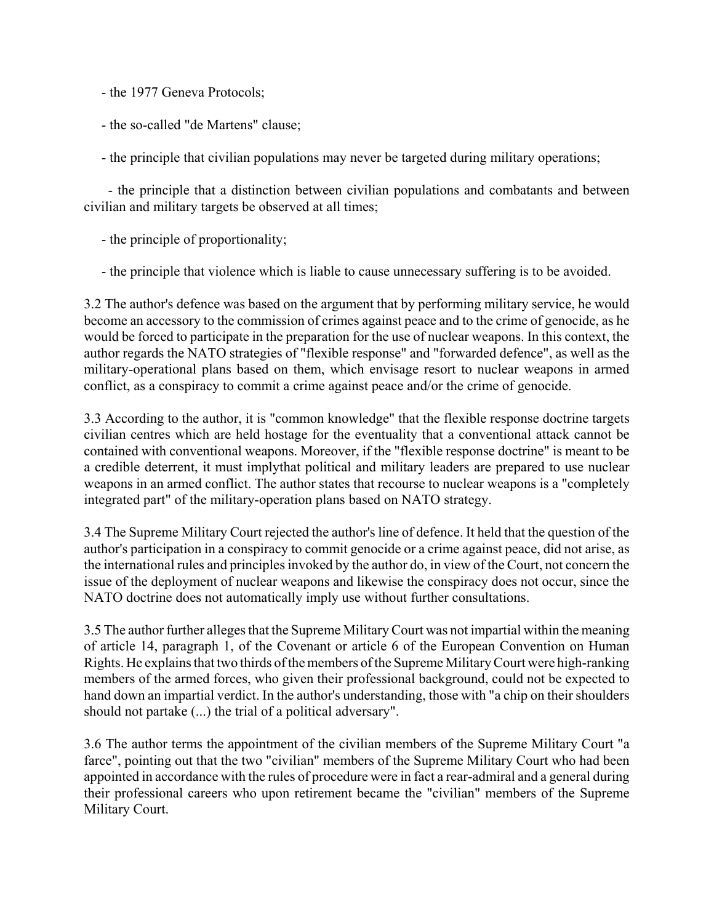- the 1977 Geneva Protocols;

- the so-called "de Martens" clause;

- the principle that civilian populations may never be targeted during military operations;

 - the principle that a distinction between civilian populations and combatants and between civilian and military targets be observed at all times;

- the principle of proportionality;

- the principle that violence which is liable to cause unnecessary suffering is to be avoided.

3.2 The author's defence was based on the argument that by performing military service, he would become an accessory to the commission of crimes against peace and to the crime of genocide, as he would be forced to participate in the preparation for the use of nuclear weapons. In this context, the author regards the NATO strategies of "flexible response" and "forwarded defence", as well as the military-operational plans based on them, which envisage resort to nuclear weapons in armed conflict, as a conspiracy to commit a crime against peace and/or the crime of genocide.

3.3 According to the author, it is "common knowledge" that the flexible response doctrine targets civilian centres which are held hostage for the eventuality that a conventional attack cannot be contained with conventional weapons. Moreover, if the "flexible response doctrine" is meant to be a credible deterrent, it must implythat political and military leaders are prepared to use nuclear weapons in an armed conflict. The author states that recourse to nuclear weapons is a "completely integrated part" of the military-operation plans based on NATO strategy.

3.4 The Supreme Military Court rejected the author's line of defence. It held that the question of the author's participation in a conspiracy to commit genocide or a crime against peace, did not arise, as the international rules and principles invoked by the author do, in view of the Court, not concern the issue of the deployment of nuclear weapons and likewise the conspiracy does not occur, since the NATO doctrine does not automatically imply use without further consultations.

3.5 The author further alleges that the Supreme Military Court was not impartial within the meaning of article 14, paragraph 1, of the Covenant or article 6 of the European Convention on Human Rights. He explains that two thirds of the members of the Supreme Military Court were high-ranking members of the armed forces, who given their professional background, could not be expected to hand down an impartial verdict. In the author's understanding, those with "a chip on their shoulders should not partake (...) the trial of a political adversary".

3.6 The author terms the appointment of the civilian members of the Supreme Military Court "a farce", pointing out that the two "civilian" members of the Supreme Military Court who had been appointed in accordance with the rules of procedure were in fact a rear-admiral and a general during their professional careers who upon retirement became the "civilian" members of the Supreme Military Court.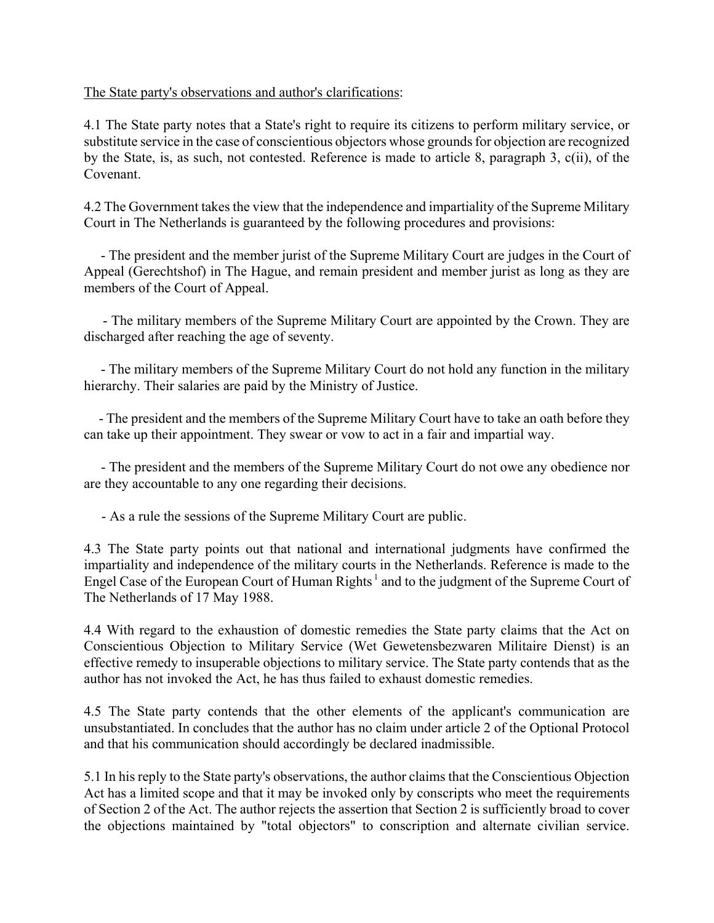## The State party's observations and author's clarifications:

4.1 The State party notes that a State's right to require its citizens to perform military service, or substitute service in the case of conscientious objectors whose grounds for objection are recognized by the State, is, as such, not contested. Reference is made to article 8, paragraph 3, c(ii), of the Covenant.

4.2 The Government takes the view that the independence and impartiality of the Supreme Military Court in The Netherlands is guaranteed by the following procedures and provisions:

 - The president and the member jurist of the Supreme Military Court are judges in the Court of Appeal (Gerechtshof) in The Hague, and remain president and member jurist as long as they are members of the Court of Appeal.

 - The military members of the Supreme Military Court are appointed by the Crown. They are discharged after reaching the age of seventy.

 - The military members of the Supreme Military Court do not hold any function in the military hierarchy. Their salaries are paid by the Ministry of Justice.

 - The president and the members of the Supreme Military Court have to take an oath before they can take up their appointment. They swear or vow to act in a fair and impartial way.

 - The president and the members of the Supreme Military Court do not owe any obedience nor are they accountable to any one regarding their decisions.

- As a rule the sessions of the Supreme Military Court are public.

4.3 The State party points out that national and international judgments have confirmed the impartiality and independence of the military courts in the Netherlands. Reference is made to the Engel Case of the European Court of Human Rights<sup>1</sup> and to the judgment of the Supreme Court of The Netherlands of 17 May 1988.

4.4 With regard to the exhaustion of domestic remedies the State party claims that the Act on Conscientious Objection to Military Service (Wet Gewetensbezwaren Militaire Dienst) is an effective remedy to insuperable objections to military service. The State party contends that as the author has not invoked the Act, he has thus failed to exhaust domestic remedies.

4.5 The State party contends that the other elements of the applicant's communication are unsubstantiated. In concludes that the author has no claim under article 2 of the Optional Protocol and that his communication should accordingly be declared inadmissible.

5.1 In his reply to the State party's observations, the author claims that the Conscientious Objection Act has a limited scope and that it may be invoked only by conscripts who meet the requirements of Section 2 of the Act. The author rejects the assertion that Section 2 is sufficiently broad to cover the objections maintained by "total objectors" to conscription and alternate civilian service.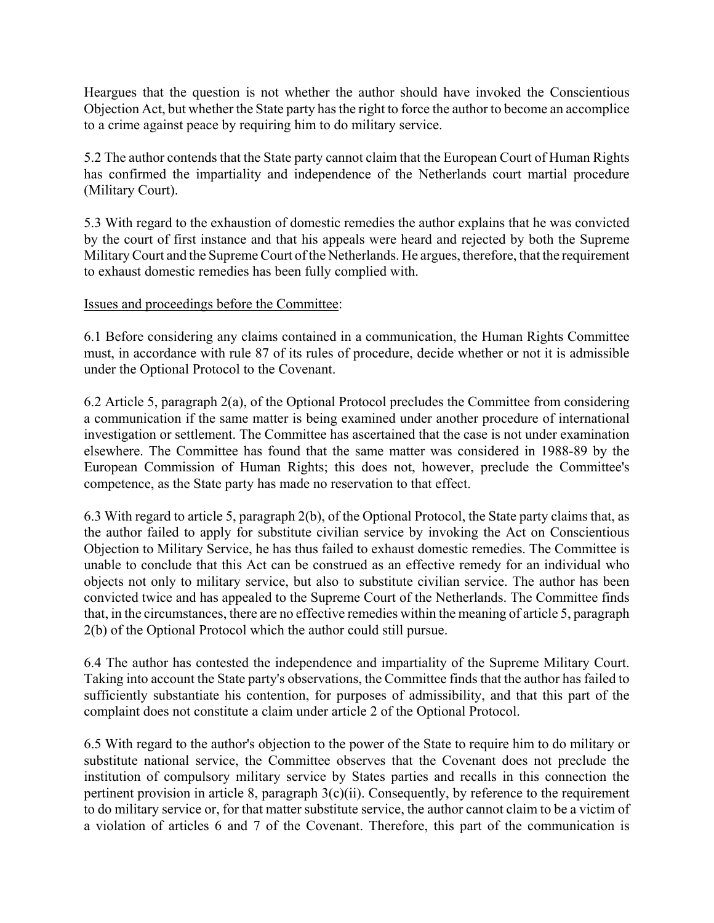Heargues that the question is not whether the author should have invoked the Conscientious Objection Act, but whether the State party has the right to force the author to become an accomplice to a crime against peace by requiring him to do military service.

5.2 The author contends that the State party cannot claim that the European Court of Human Rights has confirmed the impartiality and independence of the Netherlands court martial procedure (Military Court).

5.3 With regard to the exhaustion of domestic remedies the author explains that he was convicted by the court of first instance and that his appeals were heard and rejected by both the Supreme Military Court and the Supreme Court of the Netherlands. He argues, therefore, that the requirement to exhaust domestic remedies has been fully complied with.

## Issues and proceedings before the Committee:

6.1 Before considering any claims contained in a communication, the Human Rights Committee must, in accordance with rule 87 of its rules of procedure, decide whether or not it is admissible under the Optional Protocol to the Covenant.

6.2 Article 5, paragraph 2(a), of the Optional Protocol precludes the Committee from considering a communication if the same matter is being examined under another procedure of international investigation or settlement. The Committee has ascertained that the case is not under examination elsewhere. The Committee has found that the same matter was considered in 1988-89 by the European Commission of Human Rights; this does not, however, preclude the Committee's competence, as the State party has made no reservation to that effect.

6.3 With regard to article 5, paragraph 2(b), of the Optional Protocol, the State party claims that, as the author failed to apply for substitute civilian service by invoking the Act on Conscientious Objection to Military Service, he has thus failed to exhaust domestic remedies. The Committee is unable to conclude that this Act can be construed as an effective remedy for an individual who objects not only to military service, but also to substitute civilian service. The author has been convicted twice and has appealed to the Supreme Court of the Netherlands. The Committee finds that, in the circumstances, there are no effective remedies within the meaning of article 5, paragraph 2(b) of the Optional Protocol which the author could still pursue.

6.4 The author has contested the independence and impartiality of the Supreme Military Court. Taking into account the State party's observations, the Committee finds that the author has failed to sufficiently substantiate his contention, for purposes of admissibility, and that this part of the complaint does not constitute a claim under article 2 of the Optional Protocol.

6.5 With regard to the author's objection to the power of the State to require him to do military or substitute national service, the Committee observes that the Covenant does not preclude the institution of compulsory military service by States parties and recalls in this connection the pertinent provision in article 8, paragraph  $3(c)(ii)$ . Consequently, by reference to the requirement to do military service or, for that matter substitute service, the author cannot claim to be a victim of a violation of articles 6 and 7 of the Covenant. Therefore, this part of the communication is